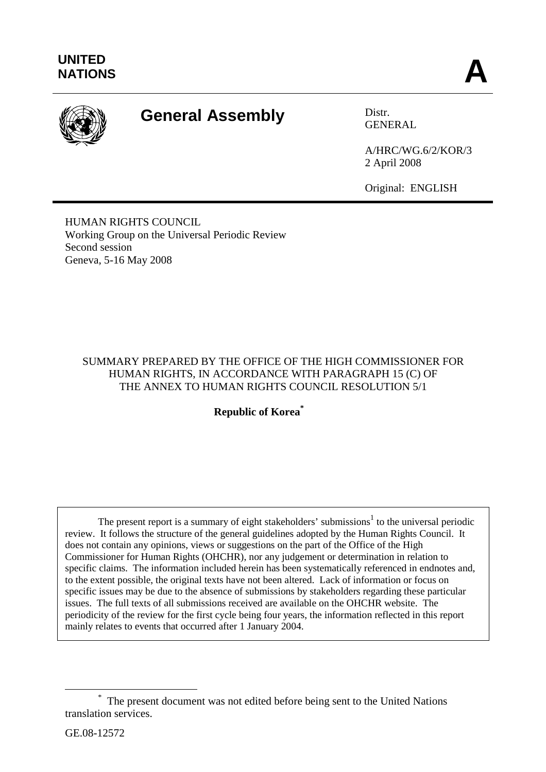

# **General Assembly** Distr.

GENERAL

A/HRC/WG.6/2/KOR/3 2 April 2008

Original: ENGLISH

HUMAN RIGHTS COUNCIL Working Group on the Universal Periodic Review Second session Geneva, 5-16 May 2008

# SUMMARY PREPARED BY THE OFFICE OF THE HIGH COMMISSIONER FOR HUMAN RIGHTS, IN ACCORDANCE WITH PARAGRAPH 15 (C) OF THE ANNEX TO HUMAN RIGHTS COUNCIL RESOLUTION 5/1

**Republic of Korea\***

The present report is a summary of eight stakeholders' submissions<sup>1</sup> to the universal periodic review. It follows the structure of the general guidelines adopted by the Human Rights Council. It does not contain any opinions, views or suggestions on the part of the Office of the High Commissioner for Human Rights (OHCHR), nor any judgement or determination in relation to specific claims. The information included herein has been systematically referenced in endnotes and, to the extent possible, the original texts have not been altered. Lack of information or focus on specific issues may be due to the absence of submissions by stakeholders regarding these particular issues. The full texts of all submissions received are available on the OHCHR website. The periodicity of the review for the first cycle being four years, the information reflected in this report mainly relates to events that occurred after 1 January 2004.

 <sup>\*</sup> The present document was not edited before being sent to the United Nations translation services.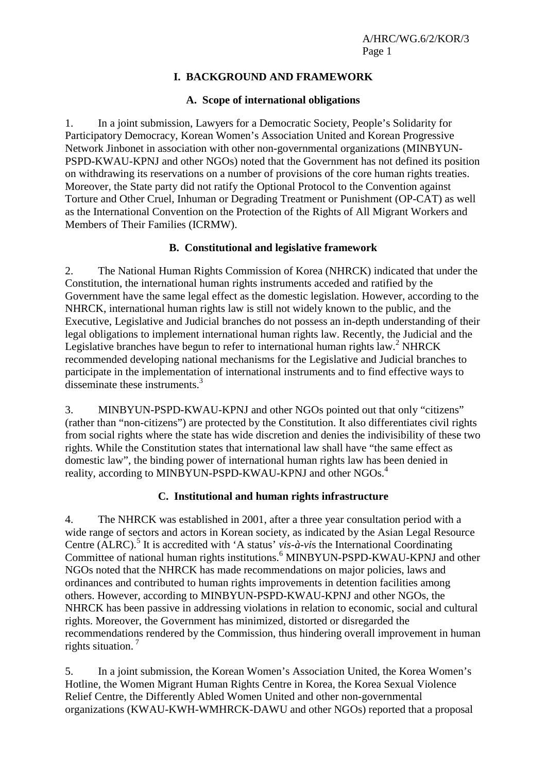# **I. BACKGROUND AND FRAMEWORK**

## **A. Scope of international obligations**

1. In a joint submission, Lawyers for a Democratic Society, People's Solidarity for Participatory Democracy, Korean Women's Association United and Korean Progressive Network Jinbonet in association with other non-governmental organizations (MINBYUN-PSPD-KWAU-KPNJ and other NGOs) noted that the Government has not defined its position on withdrawing its reservations on a number of provisions of the core human rights treaties. Moreover, the State party did not ratify the Optional Protocol to the Convention against Torture and Other Cruel, Inhuman or Degrading Treatment or Punishment (OP-CAT) as well as the International Convention on the Protection of the Rights of All Migrant Workers and Members of Their Families (ICRMW).

## **B. Constitutional and legislative framework**

2. The National Human Rights Commission of Korea (NHRCK) indicated that under the Constitution, the international human rights instruments acceded and ratified by the Government have the same legal effect as the domestic legislation. However, according to the NHRCK, international human rights law is still not widely known to the public, and the Executive, Legislative and Judicial branches do not possess an in-depth understanding of their legal obligations to implement international human rights law. Recently, the Judicial and the Legislative branches have begun to refer to international human rights law.<sup>2</sup> NHRCK recommended developing national mechanisms for the Legislative and Judicial branches to participate in the implementation of international instruments and to find effective ways to disseminate these instruments.<sup>3</sup>

3. MINBYUN-PSPD-KWAU-KPNJ and other NGOs pointed out that only "citizens" (rather than "non-citizens") are protected by the Constitution. It also differentiates civil rights from social rights where the state has wide discretion and denies the indivisibility of these two rights. While the Constitution states that international law shall have "the same effect as domestic law", the binding power of international human rights law has been denied in reality, according to MINBYUN-PSPD-KWAU-KPNJ and other NGOs.<sup>4</sup>

# **C. Institutional and human rights infrastructure**

4. The NHRCK was established in 2001, after a three year consultation period with a wide range of sectors and actors in Korean society, as indicated by the Asian Legal Resource Centre (ALRC).<sup>5</sup> It is accredited with 'A status' *vis-à-vis* the International Coordinating Committee of national human rights institutions.<sup>6</sup> MINBYUN-PSPD-KWAU-KPNJ and other NGOs noted that the NHRCK has made recommendations on major policies, laws and ordinances and contributed to human rights improvements in detention facilities among others. However, according to MINBYUN-PSPD-KWAU-KPNJ and other NGOs, the NHRCK has been passive in addressing violations in relation to economic, social and cultural rights. Moreover, the Government has minimized, distorted or disregarded the recommendations rendered by the Commission, thus hindering overall improvement in human rights situation. 7

5. In a joint submission, the Korean Women's Association United, the Korea Women's Hotline, the Women Migrant Human Rights Centre in Korea, the Korea Sexual Violence Relief Centre, the Differently Abled Women United and other non-governmental organizations (KWAU-KWH-WMHRCK-DAWU and other NGOs) reported that a proposal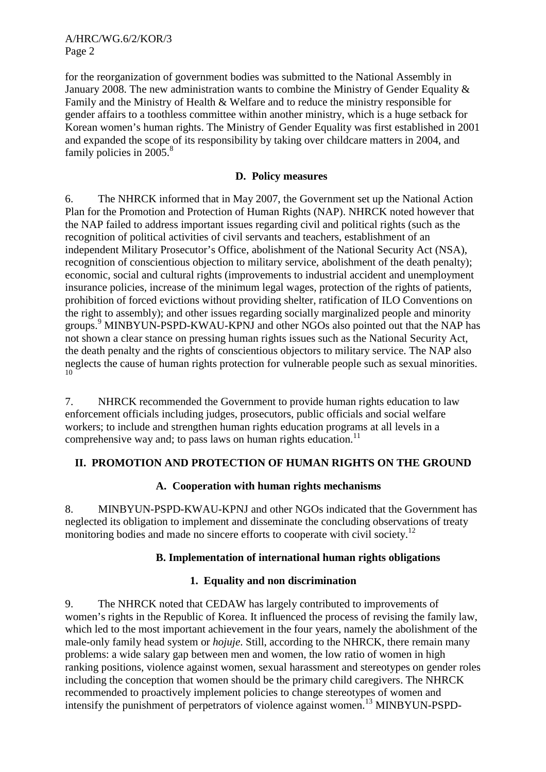A/HRC/WG.6/2/KOR/3 Page 2

for the reorganization of government bodies was submitted to the National Assembly in January 2008. The new administration wants to combine the Ministry of Gender Equality & Family and the Ministry of Health & Welfare and to reduce the ministry responsible for gender affairs to a toothless committee within another ministry, which is a huge setback for Korean women's human rights. The Ministry of Gender Equality was first established in 2001 and expanded the scope of its responsibility by taking over childcare matters in 2004, and family policies in  $2005$ .<sup>8</sup>

## **D. Policy measures**

6. The NHRCK informed that in May 2007, the Government set up the National Action Plan for the Promotion and Protection of Human Rights (NAP). NHRCK noted however that the NAP failed to address important issues regarding civil and political rights (such as the recognition of political activities of civil servants and teachers, establishment of an independent Military Prosecutor's Office, abolishment of the National Security Act (NSA), recognition of conscientious objection to military service, abolishment of the death penalty); economic, social and cultural rights (improvements to industrial accident and unemployment insurance policies, increase of the minimum legal wages, protection of the rights of patients, prohibition of forced evictions without providing shelter, ratification of ILO Conventions on the right to assembly); and other issues regarding socially marginalized people and minority groups.<sup>9</sup> MINBYUN-PSPD-KWAU-KPNJ and other NGOs also pointed out that the NAP has not shown a clear stance on pressing human rights issues such as the National Security Act, the death penalty and the rights of conscientious objectors to military service. The NAP also neglects the cause of human rights protection for vulnerable people such as sexual minorities. 10

7. NHRCK recommended the Government to provide human rights education to law enforcement officials including judges, prosecutors, public officials and social welfare workers; to include and strengthen human rights education programs at all levels in a comprehensive way and; to pass laws on human rights education.<sup>11</sup>

# **II. PROMOTION AND PROTECTION OF HUMAN RIGHTS ON THE GROUND**

### **A. Cooperation with human rights mechanisms**

8. MINBYUN-PSPD-KWAU-KPNJ and other NGOs indicated that the Government has neglected its obligation to implement and disseminate the concluding observations of treaty monitoring bodies and made no sincere efforts to cooperate with civil society.<sup>12</sup>

### **B. Implementation of international human rights obligations**

### **1. Equality and non discrimination**

9. The NHRCK noted that CEDAW has largely contributed to improvements of women's rights in the Republic of Korea. It influenced the process of revising the family law, which led to the most important achievement in the four years, namely the abolishment of the male-only family head system or *hojuje*. Still, according to the NHRCK, there remain many problems: a wide salary gap between men and women, the low ratio of women in high ranking positions, violence against women, sexual harassment and stereotypes on gender roles including the conception that women should be the primary child caregivers. The NHRCK recommended to proactively implement policies to change stereotypes of women and intensify the punishment of perpetrators of violence against women.<sup>13</sup> MINBYUN-PSPD-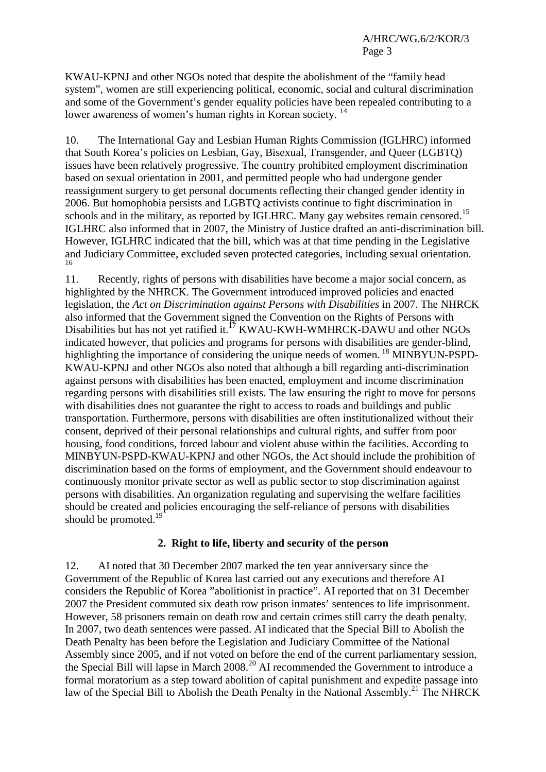KWAU-KPNJ and other NGOs noted that despite the abolishment of the "family head system", women are still experiencing political, economic, social and cultural discrimination and some of the Government's gender equality policies have been repealed contributing to a lower awareness of women's human rights in Korean society.<sup>14</sup>

10. The International Gay and Lesbian Human Rights Commission (IGLHRC) informed that South Korea's policies on Lesbian, Gay, Bisexual, Transgender, and Queer (LGBTQ) issues have been relatively progressive. The country prohibited employment discrimination based on sexual orientation in 2001, and permitted people who had undergone gender reassignment surgery to get personal documents reflecting their changed gender identity in 2006. But homophobia persists and LGBTQ activists continue to fight discrimination in schools and in the military, as reported by IGLHRC. Many gay websites remain censored.<sup>15</sup> IGLHRC also informed that in 2007, the Ministry of Justice drafted an anti-discrimination bill. However, IGLHRC indicated that the bill, which was at that time pending in the Legislative and Judiciary Committee, excluded seven protected categories, including sexual orientation. 16

11. Recently, rights of persons with disabilities have become a major social concern, as highlighted by the NHRCK. The Government introduced improved policies and enacted legislation, the *Act on Discrimination against Persons with Disabilities* in 2007. The NHRCK also informed that the Government signed the Convention on the Rights of Persons with Disabilities but has not yet ratified it.<sup>17</sup> KWAU-KWH-WMHRCK-DAWU and other NGOs indicated however, that policies and programs for persons with disabilities are gender-blind, highlighting the importance of considering the unique needs of women. <sup>18</sup> MINBYUN-PSPD-KWAU-KPNJ and other NGOs also noted that although a bill regarding anti-discrimination against persons with disabilities has been enacted, employment and income discrimination regarding persons with disabilities still exists. The law ensuring the right to move for persons with disabilities does not guarantee the right to access to roads and buildings and public transportation. Furthermore, persons with disabilities are often institutionalized without their consent, deprived of their personal relationships and cultural rights, and suffer from poor housing, food conditions, forced labour and violent abuse within the facilities. According to MINBYUN-PSPD-KWAU-KPNJ and other NGOs, the Act should include the prohibition of discrimination based on the forms of employment, and the Government should endeavour to continuously monitor private sector as well as public sector to stop discrimination against persons with disabilities. An organization regulating and supervising the welfare facilities should be created and policies encouraging the self-reliance of persons with disabilities should be promoted.<sup>19</sup>

# **2. Right to life, liberty and security of the person**

12. AI noted that 30 December 2007 marked the ten year anniversary since the Government of the Republic of Korea last carried out any executions and therefore AI considers the Republic of Korea "abolitionist in practice". AI reported that on 31 December 2007 the President commuted six death row prison inmates' sentences to life imprisonment. However, 58 prisoners remain on death row and certain crimes still carry the death penalty*.*  In 2007, two death sentences were passed. AI indicated that the Special Bill to Abolish the Death Penalty has been before the Legislation and Judiciary Committee of the National Assembly since 2005, and if not voted on before the end of the current parliamentary session, the Special Bill will lapse in March 2008.<sup>20</sup> AI recommended the Government to introduce a formal moratorium as a step toward abolition of capital punishment and expedite passage into law of the Special Bill to Abolish the Death Penalty in the National Assembly.<sup>21</sup> The NHRCK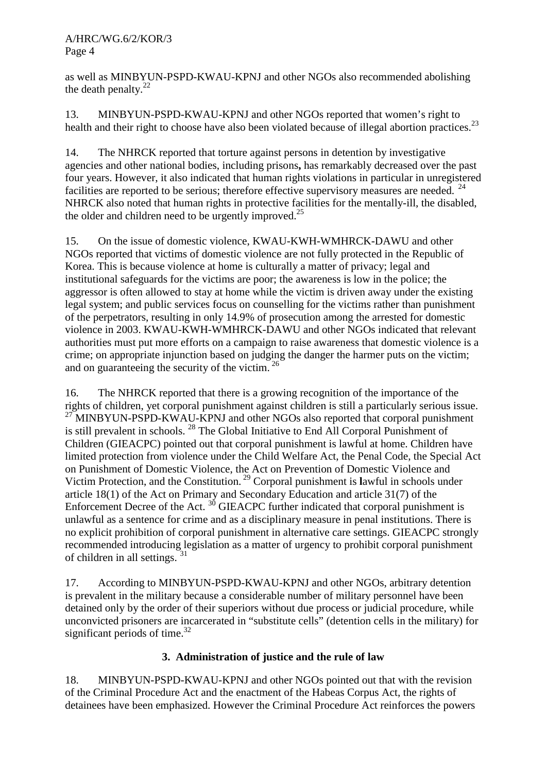as well as MINBYUN-PSPD-KWAU-KPNJ and other NGOs also recommended abolishing the death penalty. $^{22}$ 

13. MINBYUN-PSPD-KWAU-KPNJ and other NGOs reported that women's right to health and their right to choose have also been violated because of illegal abortion practices.<sup>23</sup>

14. The NHRCK reported that torture against persons in detention by investigative agencies and other national bodies, including prisons**,** has remarkably decreased over the past four years. However, it also indicated that human rights violations in particular in unregistered facilities are reported to be serious; therefore effective supervisory measures are needed.<sup>24</sup> NHRCK also noted that human rights in protective facilities for the mentally-ill, the disabled, the older and children need to be urgently improved.<sup>25</sup>

15. On the issue of domestic violence, KWAU-KWH-WMHRCK-DAWU and other NGOs reported that victims of domestic violence are not fully protected in the Republic of Korea. This is because violence at home is culturally a matter of privacy; legal and institutional safeguards for the victims are poor; the awareness is low in the police; the aggressor is often allowed to stay at home while the victim is driven away under the existing legal system; and public services focus on counselling for the victims rather than punishment of the perpetrators, resulting in only 14.9% of prosecution among the arrested for domestic violence in 2003. KWAU-KWH-WMHRCK-DAWU and other NGOs indicated that relevant authorities must put more efforts on a campaign to raise awareness that domestic violence is a crime; on appropriate injunction based on judging the danger the harmer puts on the victim; and on guaranteeing the security of the victim.<sup>26</sup>

16. The NHRCK reported that there is a growing recognition of the importance of the rights of children, yet corporal punishment against children is still a particularly serious issue. <sup>27</sup> MINBYUN-PSPD-KWAU-KPNJ and other NGOs also reported that corporal punishment is still prevalent in schools. 28 The Global Initiative to End All Corporal Punishment of Children (GIEACPC) pointed out that corporal punishment is lawful at home. Children have limited protection from violence under the Child Welfare Act, the Penal Code, the Special Act on Punishment of Domestic Violence, the Act on Prevention of Domestic Violence and Victim Protection, and the Constitution. 29 Corporal punishment is **l**awful in schools under article 18(1) of the Act on Primary and Secondary Education and article 31(7) of the Enforcement Decree of the Act.  $30$  GIEACPC further indicated that corporal punishment is unlawful as a sentence for crime and as a disciplinary measure in penal institutions. There is no explicit prohibition of corporal punishment in alternative care settings. GIEACPC strongly recommended introducing legislation as a matter of urgency to prohibit corporal punishment of children in all settings. 31

17. According to MINBYUN-PSPD-KWAU-KPNJ and other NGOs, arbitrary detention is prevalent in the military because a considerable number of military personnel have been detained only by the order of their superiors without due process or judicial procedure, while unconvicted prisoners are incarcerated in "substitute cells" (detention cells in the military) for significant periods of time. $32$ 

# **3. Administration of justice and the rule of law**

18. MINBYUN-PSPD-KWAU-KPNJ and other NGOs pointed out that with the revision of the Criminal Procedure Act and the enactment of the Habeas Corpus Act, the rights of detainees have been emphasized. However the Criminal Procedure Act reinforces the powers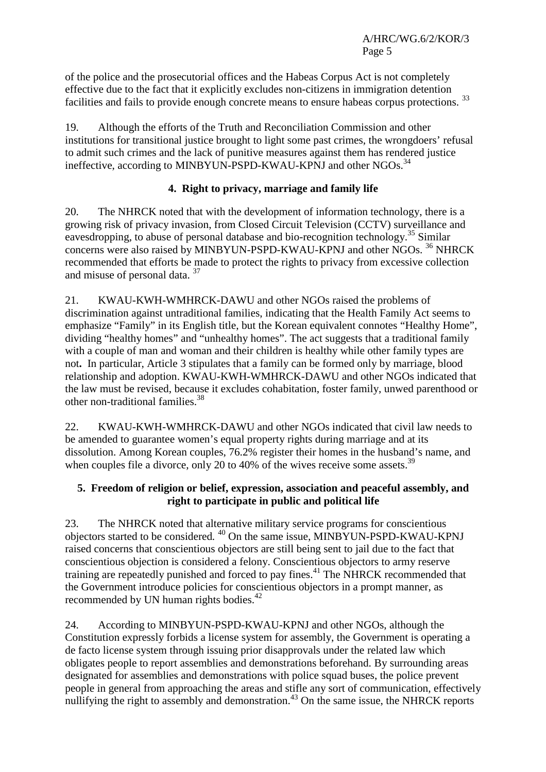of the police and the prosecutorial offices and the Habeas Corpus Act is not completely effective due to the fact that it explicitly excludes non-citizens in immigration detention facilities and fails to provide enough concrete means to ensure habeas corpus protections.<sup>33</sup>

19. Although the efforts of the Truth and Reconciliation Commission and other institutions for transitional justice brought to light some past crimes, the wrongdoers' refusal to admit such crimes and the lack of punitive measures against them has rendered justice ineffective, according to MINBYUN-PSPD-KWAU-KPNJ and other NGOs.<sup>34</sup>

# **4. Right to privacy, marriage and family life**

20. The NHRCK noted that with the development of information technology, there is a growing risk of privacy invasion, from Closed Circuit Television (CCTV) surveillance and eavesdropping, to abuse of personal database and bio-recognition technology.<sup>35</sup> Similar concerns were also raised by MINBYUN-PSPD-KWAU-KPNJ and other NGOs. 36 NHRCK recommended that efforts be made to protect the rights to privacy from excessive collection and misuse of personal data. <sup>37</sup>

21. KWAU-KWH-WMHRCK-DAWU and other NGOs raised the problems of discrimination against untraditional families, indicating that the Health Family Act seems to emphasize "Family" in its English title, but the Korean equivalent connotes "Healthy Home", dividing "healthy homes" and "unhealthy homes". The act suggests that a traditional family with a couple of man and woman and their children is healthy while other family types are not**.** In particular, Article 3 stipulates that a family can be formed only by marriage, blood relationship and adoption. KWAU-KWH-WMHRCK-DAWU and other NGOs indicated that the law must be revised, because it excludes cohabitation, foster family, unwed parenthood or other non-traditional families.38

22. KWAU-KWH-WMHRCK-DAWU and other NGOs indicated that civil law needs to be amended to guarantee women's equal property rights during marriage and at its dissolution. Among Korean couples, 76.2% register their homes in the husband's name, and when couples file a divorce, only 20 to 40% of the wives receive some assets.<sup>39</sup>

# **5. Freedom of religion or belief, expression, association and peaceful assembly, and right to participate in public and political life**

23. The NHRCK noted that alternative military service programs for conscientious objectors started to be considered*.* <sup>40</sup> On the same issue, MINBYUN-PSPD-KWAU-KPNJ raised concerns that conscientious objectors are still being sent to jail due to the fact that conscientious objection is considered a felony. Conscientious objectors to army reserve training are repeatedly punished and forced to pay fines.41 The NHRCK recommended that the Government introduce policies for conscientious objectors in a prompt manner, as recommended by UN human rights bodies.<sup>42</sup>

24. According to MINBYUN-PSPD-KWAU-KPNJ and other NGOs, although the Constitution expressly forbids a license system for assembly, the Government is operating a de facto license system through issuing prior disapprovals under the related law which obligates people to report assemblies and demonstrations beforehand. By surrounding areas designated for assemblies and demonstrations with police squad buses, the police prevent people in general from approaching the areas and stifle any sort of communication, effectively nullifying the right to assembly and demonstration.<sup>43</sup> On the same issue, the NHRCK reports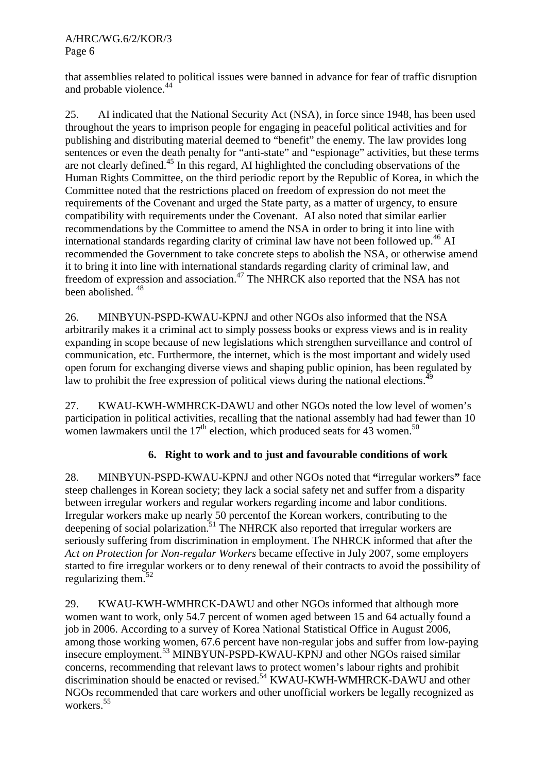### A/HRC/WG.6/2/KOR/3 Page 6

that assemblies related to political issues were banned in advance for fear of traffic disruption and probable violence.<sup>44</sup>

25. AI indicated that the National Security Act (NSA), in force since 1948, has been used throughout the years to imprison people for engaging in peaceful political activities and for publishing and distributing material deemed to "benefit" the enemy. The law provides long sentences or even the death penalty for "anti-state" and "espionage" activities, but these terms are not clearly defined.45 In this regard, AI highlighted the concluding observations of the Human Rights Committee, on the third periodic report by the Republic of Korea, in which the Committee noted that the restrictions placed on freedom of expression do not meet the requirements of the Covenant and urged the State party, as a matter of urgency, to ensure compatibility with requirements under the Covenant. AI also noted that similar earlier recommendations by the Committee to amend the NSA in order to bring it into line with international standards regarding clarity of criminal law have not been followed up.<sup>46</sup> AI recommended the Government to take concrete steps to abolish the NSA, or otherwise amend it to bring it into line with international standards regarding clarity of criminal law, and freedom of expression and association.<sup>47</sup> The NHRCK also reported that the NSA has not been abolished. 48

26. MINBYUN-PSPD-KWAU-KPNJ and other NGOs also informed that the NSA arbitrarily makes it a criminal act to simply possess books or express views and is in reality expanding in scope because of new legislations which strengthen surveillance and control of communication, etc. Furthermore, the internet, which is the most important and widely used open forum for exchanging diverse views and shaping public opinion, has been regulated by law to prohibit the free expression of political views during the national elections.<sup>4</sup>

27. KWAU-KWH-WMHRCK-DAWU and other NGOs noted the low level of women's participation in political activities, recalling that the national assembly had had fewer than 10 women lawmakers until the  $17<sup>th</sup>$  election, which produced seats for 43 women.<sup>50</sup>

# **6. Right to work and to just and favourable conditions of work**

28. MINBYUN-PSPD-KWAU-KPNJ and other NGOs noted that **"**irregular workers**"** face steep challenges in Korean society; they lack a social safety net and suffer from a disparity between irregular workers and regular workers regarding income and labor conditions. Irregular workers make up nearly 50 percentof the Korean workers, contributing to the deepening of social polarization.<sup>51</sup> The NHRCK also reported that irregular workers are seriously suffering from discrimination in employment. The NHRCK informed that after the *Act on Protection for Non-regular Workers* became effective in July 2007, some employers started to fire irregular workers or to deny renewal of their contracts to avoid the possibility of regularizing them.<sup>52</sup>

29. KWAU-KWH-WMHRCK-DAWU and other NGOs informed that although more women want to work, only 54.7 percent of women aged between 15 and 64 actually found a job in 2006. According to a survey of Korea National Statistical Office in August 2006, among those working women, 67.6 percent have non-regular jobs and suffer from low-paying insecure employment.53 MINBYUN-PSPD-KWAU-KPNJ and other NGOs raised similar concerns, recommending that relevant laws to protect women's labour rights and prohibit discrimination should be enacted or revised.54 KWAU-KWH-WMHRCK-DAWU and other NGOs recommended that care workers and other unofficial workers be legally recognized as workers.<sup>55</sup>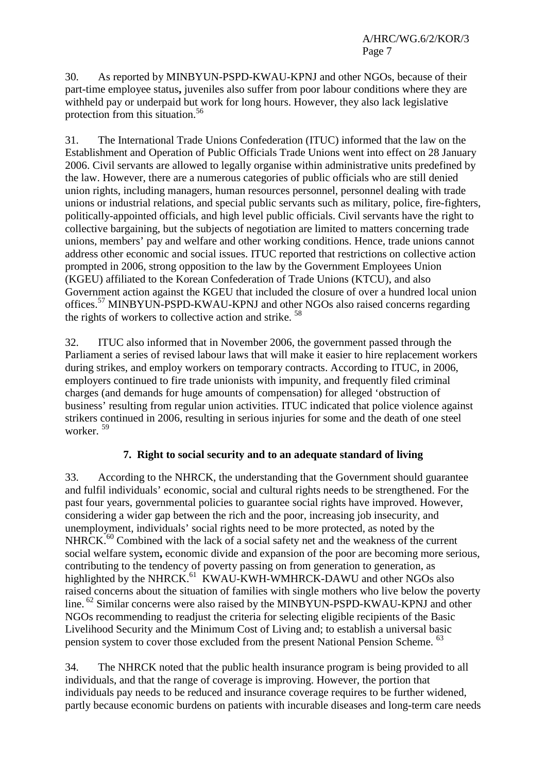30. As reported by MINBYUN-PSPD-KWAU-KPNJ and other NGOs, because of their part-time employee status**,** juveniles also suffer from poor labour conditions where they are withheld pay or underpaid but work for long hours. However, they also lack legislative protection from this situation.<sup>56</sup>

31. The International Trade Unions Confederation (ITUC) informed that the law on the Establishment and Operation of Public Officials Trade Unions went into effect on 28 January 2006. Civil servants are allowed to legally organise within administrative units predefined by the law. However, there are a numerous categories of public officials who are still denied union rights, including managers, human resources personnel, personnel dealing with trade unions or industrial relations, and special public servants such as military, police, fire-fighters, politically-appointed officials, and high level public officials. Civil servants have the right to collective bargaining, but the subjects of negotiation are limited to matters concerning trade unions, members' pay and welfare and other working conditions. Hence, trade unions cannot address other economic and social issues. ITUC reported that restrictions on collective action prompted in 2006, strong opposition to the law by the Government Employees Union (KGEU) affiliated to the Korean Confederation of Trade Unions (KTCU), and also Government action against the KGEU that included the closure of over a hundred local union offices.57 MINBYUN-PSPD-KWAU-KPNJ and other NGOs also raised concerns regarding the rights of workers to collective action and strike.<sup>58</sup>

32. ITUC also informed that in November 2006, the government passed through the Parliament a series of revised labour laws that will make it easier to hire replacement workers during strikes, and employ workers on temporary contracts. According to ITUC, in 2006, employers continued to fire trade unionists with impunity, and frequently filed criminal charges (and demands for huge amounts of compensation) for alleged 'obstruction of business' resulting from regular union activities. ITUC indicated that police violence against strikers continued in 2006, resulting in serious injuries for some and the death of one steel worker. 59

# **7. Right to social security and to an adequate standard of living**

33. According to the NHRCK, the understanding that the Government should guarantee and fulfil individuals' economic, social and cultural rights needs to be strengthened. For the past four years, governmental policies to guarantee social rights have improved. However, considering a wider gap between the rich and the poor, increasing job insecurity, and unemployment, individuals' social rights need to be more protected, as noted by the NHRCK.<sup>60</sup> Combined with the lack of a social safety net and the weakness of the current social welfare system**,** economic divide and expansion of the poor are becoming more serious, contributing to the tendency of poverty passing on from generation to generation, as highlighted by the NHRCK.<sup>61</sup> KWAU-KWH-WMHRCK-DAWU and other NGOs also raised concerns about the situation of families with single mothers who live below the poverty line. <sup>62</sup> Similar concerns were also raised by the MINBYUN-PSPD-KWAU-KPNJ and other NGOs recommending to readjust the criteria for selecting eligible recipients of the Basic Livelihood Security and the Minimum Cost of Living and; to establish a universal basic pension system to cover those excluded from the present National Pension Scheme. <sup>63</sup>

34. The NHRCK noted that the public health insurance program is being provided to all individuals, and that the range of coverage is improving. However, the portion that individuals pay needs to be reduced and insurance coverage requires to be further widened, partly because economic burdens on patients with incurable diseases and long-term care needs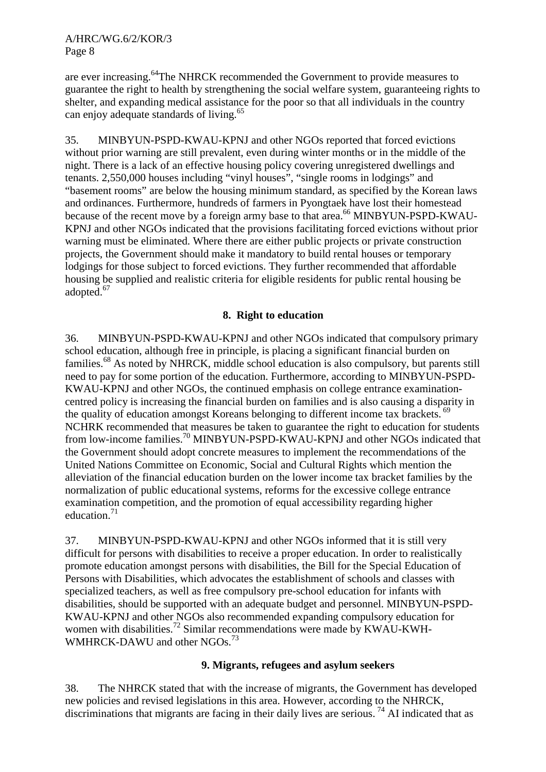are ever increasing.64The NHRCK recommended the Government to provide measures to guarantee the right to health by strengthening the social welfare system, guaranteeing rights to shelter, and expanding medical assistance for the poor so that all individuals in the country can enjoy adequate standards of living.<sup>65</sup>

35. MINBYUN-PSPD-KWAU-KPNJ and other NGOs reported that forced evictions without prior warning are still prevalent, even during winter months or in the middle of the night. There is a lack of an effective housing policy covering unregistered dwellings and tenants. 2,550,000 houses including "vinyl houses", "single rooms in lodgings" and "basement rooms" are below the housing minimum standard, as specified by the Korean laws and ordinances. Furthermore, hundreds of farmers in Pyongtaek have lost their homestead because of the recent move by a foreign army base to that area.<sup>66</sup> MINBYUN-PSPD-KWAU-KPNJ and other NGOs indicated that the provisions facilitating forced evictions without prior warning must be eliminated. Where there are either public projects or private construction projects, the Government should make it mandatory to build rental houses or temporary lodgings for those subject to forced evictions. They further recommended that affordable housing be supplied and realistic criteria for eligible residents for public rental housing be adopted.<sup>67</sup>

## **8. Right to education**

36. MINBYUN-PSPD-KWAU-KPNJ and other NGOs indicated that compulsory primary school education, although free in principle, is placing a significant financial burden on families.<sup>68</sup> As noted by NHRCK, middle school education is also compulsory, but parents still need to pay for some portion of the education. Furthermore, according to MINBYUN-PSPD-KWAU-KPNJ and other NGOs, the continued emphasis on college entrance examinationcentred policy is increasing the financial burden on families and is also causing a disparity in the quality of education amongst Koreans belonging to different income tax brackets. <sup>69</sup> NCHRK recommended that measures be taken to guarantee the right to education for students from low-income families.70 MINBYUN-PSPD-KWAU-KPNJ and other NGOs indicated that the Government should adopt concrete measures to implement the recommendations of the United Nations Committee on Economic, Social and Cultural Rights which mention the alleviation of the financial education burden on the lower income tax bracket families by the normalization of public educational systems, reforms for the excessive college entrance examination competition, and the promotion of equal accessibility regarding higher education. $71$ 

37. MINBYUN-PSPD-KWAU-KPNJ and other NGOs informed that it is still very difficult for persons with disabilities to receive a proper education. In order to realistically promote education amongst persons with disabilities, the Bill for the Special Education of Persons with Disabilities, which advocates the establishment of schools and classes with specialized teachers, as well as free compulsory pre-school education for infants with disabilities, should be supported with an adequate budget and personnel. MINBYUN-PSPD-KWAU-KPNJ and other NGOs also recommended expanding compulsory education for women with disabilities.<sup>72</sup> Similar recommendations were made by KWAU-KWH-WMHRCK-DAWU and other NGOs.<sup>73</sup>

### **9. Migrants, refugees and asylum seekers**

38. The NHRCK stated that with the increase of migrants, the Government has developed new policies and revised legislations in this area. However, according to the NHRCK, discriminations that migrants are facing in their daily lives are serious.  $^{74}$  AI indicated that as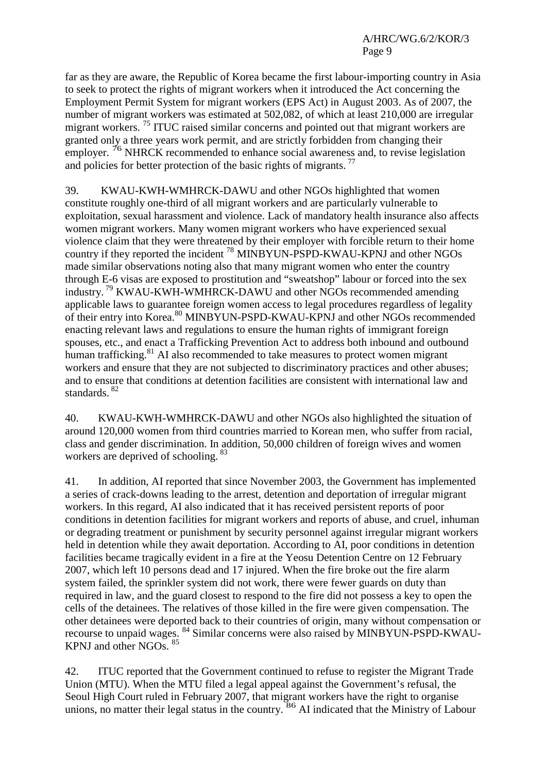far as they are aware, the Republic of Korea became the first labour-importing country in Asia to seek to protect the rights of migrant workers when it introduced the Act concerning the Employment Permit System for migrant workers (EPS Act) in August 2003. As of 2007, the number of migrant workers was estimated at 502,082, of which at least 210,000 are irregular migrant workers.<sup>75</sup> ITUC raised similar concerns and pointed out that migrant workers are granted only a three years work permit, and are strictly forbidden from changing their employer. <sup>76</sup> NHRCK recommended to enhance social awareness and, to revise legislation and policies for better protection of the basic rights of migrants.<sup>77</sup>

39. KWAU-KWH-WMHRCK-DAWU and other NGOs highlighted that women constitute roughly one-third of all migrant workers and are particularly vulnerable to exploitation, sexual harassment and violence. Lack of mandatory health insurance also affects women migrant workers. Many women migrant workers who have experienced sexual violence claim that they were threatened by their employer with forcible return to their home country if they reported the incident 78 MINBYUN-PSPD-KWAU-KPNJ and other NGOs made similar observations noting also that many migrant women who enter the country through E-6 visas are exposed to prostitution and "sweatshop" labour or forced into the sex industry. 79 KWAU-KWH-WMHRCK-DAWU and other NGOs recommended amending applicable laws to guarantee foreign women access to legal procedures regardless of legality of their entry into Korea.<sup>80</sup> MINBYUN-PSPD-KWAU-KPNJ and other NGOs recommended enacting relevant laws and regulations to ensure the human rights of immigrant foreign spouses, etc., and enact a Trafficking Prevention Act to address both inbound and outbound human trafficking.<sup>81</sup> AI also recommended to take measures to protect women migrant workers and ensure that they are not subjected to discriminatory practices and other abuses; and to ensure that conditions at detention facilities are consistent with international law and standards.<sup>82</sup>

40. KWAU-KWH-WMHRCK-DAWU and other NGOs also highlighted the situation of around 120,000 women from third countries married to Korean men, who suffer from racial, class and gender discrimination. In addition, 50,000 children of foreign wives and women workers are deprived of schooling.<sup>83</sup>

41. In addition, AI reported that since November 2003, the Government has implemented a series of crack-downs leading to the arrest, detention and deportation of irregular migrant workers. In this regard, AI also indicated that it has received persistent reports of poor conditions in detention facilities for migrant workers and reports of abuse, and cruel, inhuman or degrading treatment or punishment by security personnel against irregular migrant workers held in detention while they await deportation. According to AI, poor conditions in detention facilities became tragically evident in a fire at the Yeosu Detention Centre on 12 February 2007, which left 10 persons dead and 17 injured. When the fire broke out the fire alarm system failed, the sprinkler system did not work, there were fewer guards on duty than required in law, and the guard closest to respond to the fire did not possess a key to open the cells of the detainees. The relatives of those killed in the fire were given compensation. The other detainees were deported back to their countries of origin, many without compensation or recourse to unpaid wages. 84 Similar concerns were also raised by MINBYUN-PSPD-KWAU-KPNJ and other NGOs. 85

42. ITUC reported that the Government continued to refuse to register the Migrant Trade Union (MTU). When the MTU filed a legal appeal against the Government's refusal, the Seoul High Court ruled in February 2007, that migrant workers have the right to organise unions, no matter their legal status in the country.<sup>86</sup> AI indicated that the Ministry of Labour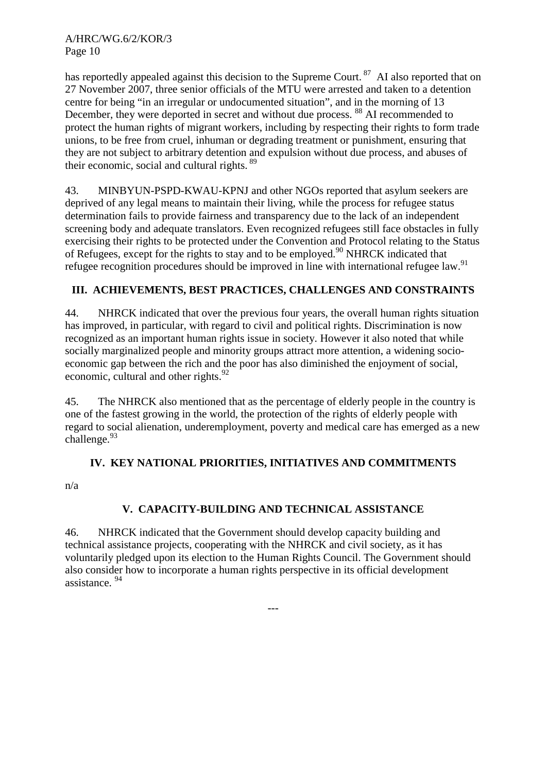A/HRC/WG.6/2/KOR/3 Page 10

has reportedly appealed against this decision to the Supreme Court.<sup>87</sup> AI also reported that on 27 November 2007, three senior officials of the MTU were arrested and taken to a detention centre for being "in an irregular or undocumented situation", and in the morning of 13 December, they were deported in secret and without due process. <sup>88</sup> AI recommended to protect the human rights of migrant workers, including by respecting their rights to form trade unions, to be free from cruel, inhuman or degrading treatment or punishment, ensuring that they are not subject to arbitrary detention and expulsion without due process, and abuses of their economic, social and cultural rights.<sup>89</sup>

43. MINBYUN-PSPD-KWAU-KPNJ and other NGOs reported that asylum seekers are deprived of any legal means to maintain their living, while the process for refugee status determination fails to provide fairness and transparency due to the lack of an independent screening body and adequate translators. Even recognized refugees still face obstacles in fully exercising their rights to be protected under the Convention and Protocol relating to the Status of Refugees, except for the rights to stay and to be employed.<sup>90</sup> NHRCK indicated that refugee recognition procedures should be improved in line with international refugee law.<sup>91</sup>

# **III. ACHIEVEMENTS, BEST PRACTICES, CHALLENGES AND CONSTRAINTS**

44. NHRCK indicated that over the previous four years, the overall human rights situation has improved, in particular, with regard to civil and political rights. Discrimination is now recognized as an important human rights issue in society. However it also noted that while socially marginalized people and minority groups attract more attention, a widening socioeconomic gap between the rich and the poor has also diminished the enjoyment of social, economic, cultural and other rights. $92$ 

45. The NHRCK also mentioned that as the percentage of elderly people in the country is one of the fastest growing in the world, the protection of the rights of elderly people with regard to social alienation, underemployment, poverty and medical care has emerged as a new challenge.  $93$ 

# **IV. KEY NATIONAL PRIORITIES, INITIATIVES AND COMMITMENTS**

n/a

# **V. CAPACITY-BUILDING AND TECHNICAL ASSISTANCE**

46. NHRCK indicated that the Government should develop capacity building and technical assistance projects, cooperating with the NHRCK and civil society, as it has voluntarily pledged upon its election to the Human Rights Council. The Government should also consider how to incorporate a human rights perspective in its official development assistance. 94

---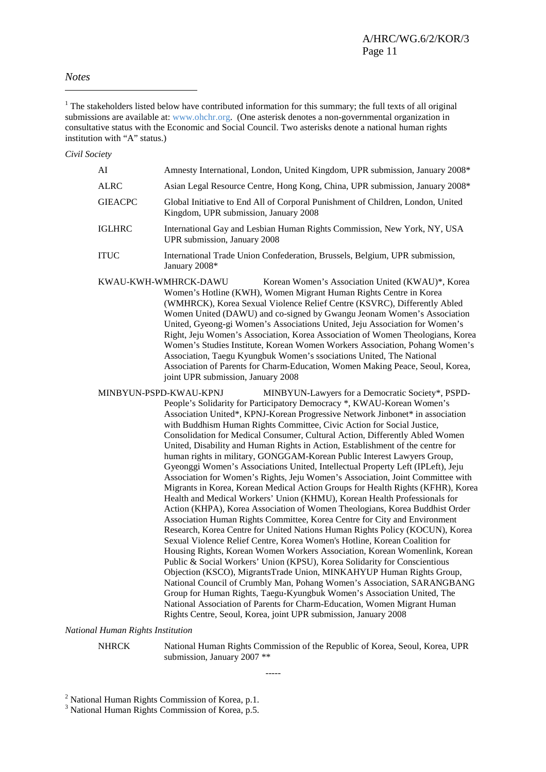#### *Notes*

 $\overline{a}$ 

 $1$ <sup>1</sup> The stakeholders listed below have contributed information for this summary; the full texts of all original submissions are available at: www.ohchr.org. (One asterisk denotes a non-governmental organization in consultative status with the Economic and Social Council. Two asterisks denote a national human rights institution with "A" status.)

*Civil Society* 

| AI                     | Amnesty International, London, United Kingdom, UPR submission, January 2008*                                                                                                                                                                                                                                                                                                                                                                                                                                                                                                                                                                                                                                                                       |
|------------------------|----------------------------------------------------------------------------------------------------------------------------------------------------------------------------------------------------------------------------------------------------------------------------------------------------------------------------------------------------------------------------------------------------------------------------------------------------------------------------------------------------------------------------------------------------------------------------------------------------------------------------------------------------------------------------------------------------------------------------------------------------|
| <b>ALRC</b>            | Asian Legal Resource Centre, Hong Kong, China, UPR submission, January 2008*                                                                                                                                                                                                                                                                                                                                                                                                                                                                                                                                                                                                                                                                       |
| <b>GIEACPC</b>         | Global Initiative to End All of Corporal Punishment of Children, London, United<br>Kingdom, UPR submission, January 2008                                                                                                                                                                                                                                                                                                                                                                                                                                                                                                                                                                                                                           |
| <b>IGLHRC</b>          | International Gay and Lesbian Human Rights Commission, New York, NY, USA<br>UPR submission, January 2008                                                                                                                                                                                                                                                                                                                                                                                                                                                                                                                                                                                                                                           |
| <b>ITUC</b>            | International Trade Union Confederation, Brussels, Belgium, UPR submission,<br>January 2008*                                                                                                                                                                                                                                                                                                                                                                                                                                                                                                                                                                                                                                                       |
|                        | KWAU-KWH-WMHRCK-DAWU<br>Korean Women's Association United (KWAU)*, Korea<br>Women's Hotline (KWH), Women Migrant Human Rights Centre in Korea<br>(WMHRCK), Korea Sexual Violence Relief Centre (KSVRC), Differently Abled<br>Women United (DAWU) and co-signed by Gwangu Jeonam Women's Association<br>United, Gyeong-gi Women's Associations United, Jeju Association for Women's<br>Right, Jeju Women's Association, Korea Association of Women Theologians, Korea<br>Women's Studies Institute, Korean Women Workers Association, Pohang Women's<br>Association, Taegu Kyungbuk Women's ssociations United, The National<br>Association of Parents for Charm-Education, Women Making Peace, Seoul, Korea,<br>joint UPR submission, January 2008 |
| MINBYUN-PSPD-KWAU-KPNJ | MINBYUN-Lawyers for a Democratic Society*, PSPD-<br>People's Solidarity for Participatory Democracy *, KWAU-Korean Women's<br>Association United* KPNL-Korean Progressive Network Linbonet* in association                                                                                                                                                                                                                                                                                                                                                                                                                                                                                                                                         |

ation United\*, KPNJ-Korean Progressive Network Jinbonet\* in association with Buddhism Human Rights Committee, Civic Action for Social Justice, Consolidation for Medical Consumer, Cultural Action, Differently Abled Women United, Disability and Human Rights in Action, Establishment of the centre for human rights in military, GONGGAM-Korean Public Interest Lawyers Group, Gyeonggi Women's Associations United, Intellectual Property Left (IPLeft), Jeju Association for Women's Rights, Jeju Women's Association, Joint Committee with Migrants in Korea, Korean Medical Action Groups for Health Rights (KFHR), Korea Health and Medical Workers' Union (KHMU), Korean Health Professionals for Action (KHPA), Korea Association of Women Theologians, Korea Buddhist Order Association Human Rights Committee, Korea Centre for City and Environment Research, Korea Centre for United Nations Human Rights Policy (KOCUN), Korea Sexual Violence Relief Centre, Korea Women's Hotline, Korean Coalition for Housing Rights, Korean Women Workers Association, Korean Womenlink, Korean Public & Social Workers' Union (KPSU), Korea Solidarity for Conscientious Objection (KSCO), MigrantsTrade Union, MINKAHYUP Human Rights Group, National Council of Crumbly Man, Pohang Women's Association, SARANGBANG Group for Human Rights, Taegu-Kyungbuk Women's Association United, The National Association of Parents for Charm-Education, Women Migrant Human Rights Centre, Seoul, Korea, joint UPR submission, January 2008

*National Human Rights Institution* 

NHRCK National Human Rights Commission of the Republic of Korea, Seoul, Korea, UPR submission, January 2007 \*\*

-----

 $2$  National Human Rights Commission of Korea, p.1.

<sup>&</sup>lt;sup>3</sup> National Human Rights Commission of Korea, p.5.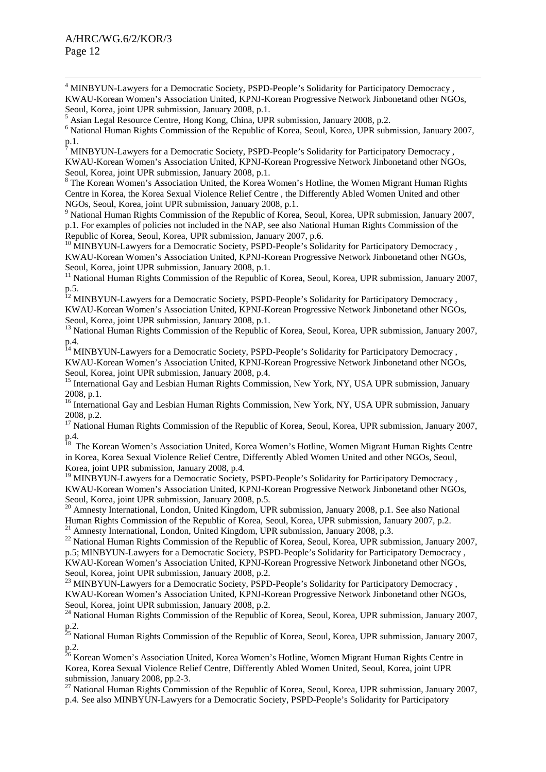$\frac{1}{4}$ <sup>4</sup> MINBYUN-Lawyers for a Democratic Society, PSPD-People's Solidarity for Participatory Democracy, KWAU-Korean Women's Association United, KPNJ-Korean Progressive Network Jinbonetand other NGOs, Seoul, Korea, joint UPR submission, January 2008, p.1.

5 Asian Legal Resource Centre, Hong Kong, China, UPR submission, January 2008, p.2.

<sup>6</sup> National Human Rights Commission of the Republic of Korea, Seoul, Korea, UPR submission, January 2007, p.1.<br>7 ми

MINBYUN-Lawyers for a Democratic Society, PSPD-People's Solidarity for Participatory Democracy , KWAU-Korean Women's Association United, KPNJ-Korean Progressive Network Jinbonetand other NGOs, Seoul, Korea, joint UPR submission, January 2008, p.1.

<sup>8</sup> The Korean Women's Association United, the Korea Women's Hotline, the Women Migrant Human Rights Centre in Korea, the Korea Sexual Violence Relief Centre , the Differently Abled Women United and other NGOs, Seoul, Korea, joint UPR submission, January 2008, p.1.

<sup>9</sup> National Human Rights Commission of the Republic of Korea, Seoul, Korea, UPR submission, January 2007, p.1. For examples of policies not included in the NAP, see also National Human Rights Commission of the Republic of Korea, Seoul, Korea, UPR submission, January 2007, p.6.

<sup>10</sup> MINBYUN-Lawyers for a Democratic Society, PSPD-People's Solidarity for Participatory Democracy, KWAU-Korean Women's Association United, KPNJ-Korean Progressive Network Jinbonetand other NGOs, Seoul, Korea, joint UPR submission, January 2008, p.1.

<sup>11</sup> National Human Rights Commission of the Republic of Korea, Seoul, Korea, UPR submission, January 2007, p.5.

<sup>12</sup> MINBYUN-Lawyers for a Democratic Society, PSPD-People's Solidarity for Participatory Democracy, KWAU-Korean Women's Association United, KPNJ-Korean Progressive Network Jinbonetand other NGOs, Seoul, Korea, joint UPR submission, January 2008, p.1.

<sup>13</sup> National Human Rights Commission of the Republic of Korea, Seoul, Korea, UPR submission, January 2007, p.4.

<sup>14</sup> MINBYUN-Lawyers for a Democratic Society, PSPD-People's Solidarity for Participatory Democracy, KWAU-Korean Women's Association United, KPNJ-Korean Progressive Network Jinbonetand other NGOs, Seoul, Korea, joint UPR submission, January 2008, p.4.

<sup>15</sup> International Gay and Lesbian Human Rights Commission, New York, NY, USA UPR submission, January 2008, p.1.

<sup>16</sup> International Gay and Lesbian Human Rights Commission, New York, NY, USA UPR submission, January 2008, p.2.

<sup>17</sup> National Human Rights Commission of the Republic of Korea, Seoul, Korea, UPR submission, January 2007, p.4.

<sup>18</sup> The Korean Women's Association United, Korea Women's Hotline, Women Migrant Human Rights Centre in Korea, Korea Sexual Violence Relief Centre, Differently Abled Women United and other NGOs, Seoul, Korea, joint UPR submission, January 2008, p.4.

<sup>19</sup> MINBYUN-Lawyers for a Democratic Society, PSPD-People's Solidarity for Participatory Democracy, KWAU-Korean Women's Association United, KPNJ-Korean Progressive Network Jinbonetand other NGOs, Seoul, Korea, joint UPR submission, January 2008, p.5.

<sup>20</sup> Amnesty International, London, United Kingdom, UPR submission, January 2008, p.1. See also National Human Rights Commission of the Republic of Korea, Seoul, Korea, UPR submission, January 2007, p.2.

<sup>21</sup> Amnesty International, London, United Kingdom, UPR submission, January 2008, p.3.

<sup>22</sup> National Human Rights Commission of the Republic of Korea, Seoul, Korea, UPR submission, January 2007, p.5; MINBYUN-Lawyers for a Democratic Society, PSPD-People's Solidarity for Participatory Democracy , KWAU-Korean Women's Association United, KPNJ-Korean Progressive Network Jinbonetand other NGOs, Seoul, Korea, joint UPR submission, January 2008, p.2.

<sup>23</sup> MINBYUN-Lawyers for a Democratic Society, PSPD-People's Solidarity for Participatory Democracy, KWAU-Korean Women's Association United, KPNJ-Korean Progressive Network Jinbonetand other NGOs, Seoul, Korea, joint UPR submission, January 2008, p.2.

<sup>24</sup> National Human Rights Commission of the Republic of Korea, Seoul, Korea, UPR submission, January 2007, p.2.

<sup>25</sup> National Human Rights Commission of the Republic of Korea, Seoul, Korea, UPR submission, January 2007, p.2.

<sup>26</sup> Korean Women's Association United, Korea Women's Hotline, Women Migrant Human Rights Centre in Korea, Korea Sexual Violence Relief Centre, Differently Abled Women United, Seoul, Korea, joint UPR submission, January 2008, pp.2-3.

<sup>27</sup> National Human Rights Commission of the Republic of Korea, Seoul, Korea, UPR submission, January 2007, p.4. See also MINBYUN-Lawyers for a Democratic Society, PSPD-People's Solidarity for Participatory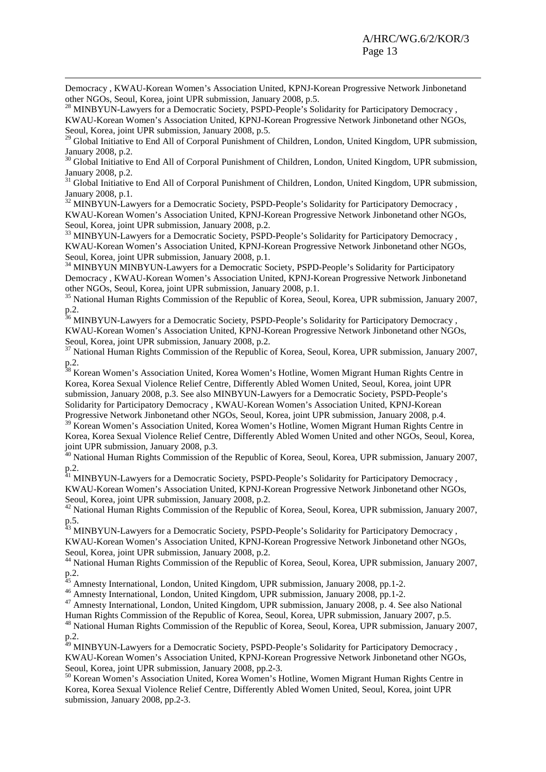Democracy , KWAU-Korean Women's Association United, KPNJ-Korean Progressive Network Jinbonetand other NGOs, Seoul, Korea, joint UPR submission, January 2008, p.5.

 $\overline{a}$ 

<sup>28</sup> MINBYUN-Lawyers for a Democratic Society, PSPD-People's Solidarity for Participatory Democracy, KWAU-Korean Women's Association United, KPNJ-Korean Progressive Network Jinbonetand other NGOs, Seoul, Korea, joint UPR submission, January 2008, p.5.

<sup>29</sup> Global Initiative to End All of Corporal Punishment of Children, London, United Kingdom, UPR submission, January 2008, p.2.

<sup>30</sup> Global Initiative to End All of Corporal Punishment of Children, London, United Kingdom, UPR submission, January 2008, p.2.

<sup>31</sup> Global Initiative to End All of Corporal Punishment of Children, London, United Kingdom, UPR submission, January 2008, p.1.

<sup>32</sup> MINBYUN-Lawyers for a Democratic Society, PSPD-People's Solidarity for Participatory Democracy, KWAU-Korean Women's Association United, KPNJ-Korean Progressive Network Jinbonetand other NGOs, Seoul, Korea, joint UPR submission, January 2008, p.2.

<sup>33</sup> MINBYUN-Lawyers for a Democratic Society, PSPD-People's Solidarity for Participatory Democracy, KWAU-Korean Women's Association United, KPNJ-Korean Progressive Network Jinbonetand other NGOs, Seoul, Korea, joint UPR submission, January 2008, p.1.

<sup>34</sup> MINBYUN MINBYUN-Lawyers for a Democratic Society, PSPD-People's Solidarity for Participatory Democracy , KWAU-Korean Women's Association United, KPNJ-Korean Progressive Network Jinbonetand other NGOs, Seoul, Korea, joint UPR submission, January 2008, p.1.

<sup>35</sup> National Human Rights Commission of the Republic of Korea, Seoul, Korea, UPR submission, January 2007, p.2.

<sup>36</sup> MINBYUN-Lawyers for a Democratic Society, PSPD-People's Solidarity for Participatory Democracy, KWAU-Korean Women's Association United, KPNJ-Korean Progressive Network Jinbonetand other NGOs, Seoul, Korea, joint UPR submission, January 2008, p.2.

<sup>37</sup> National Human Rights Commission of the Republic of Korea, Seoul, Korea, UPR submission, January 2007, p.2.

<sup>38</sup> Korean Women's Association United, Korea Women's Hotline, Women Migrant Human Rights Centre in Korea, Korea Sexual Violence Relief Centre, Differently Abled Women United, Seoul, Korea, joint UPR submission, January 2008, p.3. See also MINBYUN-Lawyers for a Democratic Society, PSPD-People's Solidarity for Participatory Democracy , KWAU-Korean Women's Association United, KPNJ-Korean Progressive Network Jinbonetand other NGOs, Seoul, Korea, joint UPR submission, January 2008, p.4. <sup>39</sup> Korean Women's Association United, Korea Women's Hotline, Women Migrant Human Rights Centre in

Korea, Korea Sexual Violence Relief Centre, Differently Abled Women United and other NGOs, Seoul, Korea, joint UPR submission, January 2008, p.3.

<sup>40</sup> National Human Rights Commission of the Republic of Korea, Seoul, Korea, UPR submission, January 2007, p.2.

<sup>41</sup> MINBYUN-Lawyers for a Democratic Society, PSPD-People's Solidarity for Participatory Democracy, KWAU-Korean Women's Association United, KPNJ-Korean Progressive Network Jinbonetand other NGOs, Seoul, Korea, joint UPR submission, January 2008, p.2.

<sup>42</sup> National Human Rights Commission of the Republic of Korea, Seoul, Korea, UPR submission, January 2007, p.5.

<sup>43</sup> MINBYUN-Lawyers for a Democratic Society, PSPD-People's Solidarity for Participatory Democracy, KWAU-Korean Women's Association United, KPNJ-Korean Progressive Network Jinbonetand other NGOs, Seoul, Korea, joint UPR submission, January 2008, p.2.

44 National Human Rights Commission of the Republic of Korea, Seoul, Korea, UPR submission, January 2007, p.2.

<sup>45</sup> Amnesty International, London, United Kingdom, UPR submission, January 2008, pp.1-2.

46 Amnesty International, London, United Kingdom, UPR submission, January 2008, pp.1-2.

<sup>47</sup> Amnesty International, London, United Kingdom, UPR submission, January 2008, p. 4. See also National

Human Rights Commission of the Republic of Korea, Seoul, Korea, UPR submission, January 2007, p.5.

<sup>48</sup> National Human Rights Commission of the Republic of Korea, Seoul, Korea, UPR submission, January 2007, p.2.

<sup>49</sup> MINBYUN-Lawyers for a Democratic Society, PSPD-People's Solidarity for Participatory Democracy, KWAU-Korean Women's Association United, KPNJ-Korean Progressive Network Jinbonetand other NGOs, Seoul, Korea, joint UPR submission, January 2008, pp.2-3.

50 Korean Women's Association United, Korea Women's Hotline, Women Migrant Human Rights Centre in Korea, Korea Sexual Violence Relief Centre, Differently Abled Women United, Seoul, Korea, joint UPR submission, January 2008, pp.2-3.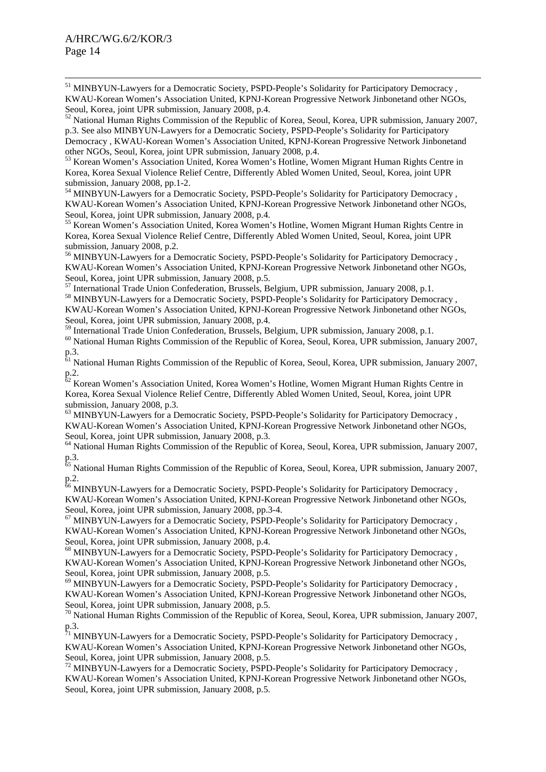51 MINBYUN-Lawyers for a Democratic Society, PSPD-People's Solidarity for Participatory Democracy , KWAU-Korean Women's Association United, KPNJ-Korean Progressive Network Jinbonetand other NGOs, Seoul, Korea, joint UPR submission, January 2008, p.4.

<sup>52</sup> National Human Rights Commission of the Republic of Korea, Seoul, Korea, UPR submission, January 2007, p.3. See also MINBYUN-Lawyers for a Democratic Society, PSPD-People's Solidarity for Participatory Democracy , KWAU-Korean Women's Association United, KPNJ-Korean Progressive Network Jinbonetand other NGOs, Seoul, Korea, joint UPR submission, January 2008, p.4.

53 Korean Women's Association United, Korea Women's Hotline, Women Migrant Human Rights Centre in Korea, Korea Sexual Violence Relief Centre, Differently Abled Women United, Seoul, Korea, joint UPR submission, January 2008, pp.1-2.

54 MINBYUN-Lawyers for a Democratic Society, PSPD-People's Solidarity for Participatory Democracy , KWAU-Korean Women's Association United, KPNJ-Korean Progressive Network Jinbonetand other NGOs, Seoul, Korea, joint UPR submission, January 2008, p.4.

55 Korean Women's Association United, Korea Women's Hotline, Women Migrant Human Rights Centre in Korea, Korea Sexual Violence Relief Centre, Differently Abled Women United, Seoul, Korea, joint UPR submission, January 2008, p.2.

<sup>56</sup> MINBYUN-Lawyers for a Democratic Society, PSPD-People's Solidarity for Participatory Democracy, KWAU-Korean Women's Association United, KPNJ-Korean Progressive Network Jinbonetand other NGOs, Seoul, Korea, joint UPR submission, January 2008, p.5.

57 International Trade Union Confederation, Brussels, Belgium, UPR submission, January 2008, p.1. <sup>58</sup> MINBYUN-Lawyers for a Democratic Society, PSPD-People's Solidarity for Participatory Democracy , KWAU-Korean Women's Association United, KPNJ-Korean Progressive Network Jinbonetand other NGOs, Seoul, Korea, joint UPR submission, January 2008, p.4.

59 International Trade Union Confederation, Brussels, Belgium, UPR submission, January 2008, p.1.

60 National Human Rights Commission of the Republic of Korea, Seoul, Korea, UPR submission, January 2007, p.3.

<sup>61</sup> National Human Rights Commission of the Republic of Korea, Seoul, Korea, UPR submission, January 2007, p.2.

 $62$  Korean Women's Association United, Korea Women's Hotline, Women Migrant Human Rights Centre in Korea, Korea Sexual Violence Relief Centre, Differently Abled Women United, Seoul, Korea, joint UPR submission, January 2008, p.3.

<sup>63</sup> MINBYUN-Lawyers for a Democratic Society, PSPD-People's Solidarity for Participatory Democracy, KWAU-Korean Women's Association United, KPNJ-Korean Progressive Network Jinbonetand other NGOs, Seoul, Korea, joint UPR submission, January 2008, p.3.

<sup>64</sup> National Human Rights Commission of the Republic of Korea, Seoul, Korea, UPR submission, January 2007, p.3.

<sup>65</sup> National Human Rights Commission of the Republic of Korea, Seoul, Korea, UPR submission, January 2007, p.2.

<sup>66</sup> MINBYUN-Lawyers for a Democratic Society, PSPD-People's Solidarity for Participatory Democracy, KWAU-Korean Women's Association United, KPNJ-Korean Progressive Network Jinbonetand other NGOs, Seoul, Korea, joint UPR submission, January 2008, pp.3-4.

<sup>67</sup> MINBYUN-Lawyers for a Democratic Society, PSPD-People's Solidarity for Participatory Democracy, KWAU-Korean Women's Association United, KPNJ-Korean Progressive Network Jinbonetand other NGOs, Seoul, Korea, joint UPR submission, January 2008, p.4.

<sup>68</sup> MINBYUN-Lawyers for a Democratic Society, PSPD-People's Solidarity for Participatory Democracy, KWAU-Korean Women's Association United, KPNJ-Korean Progressive Network Jinbonetand other NGOs, Seoul, Korea, joint UPR submission, January 2008, p.5.

<sup>69</sup> MINBYUN-Lawyers for a Democratic Society, PSPD-People's Solidarity for Participatory Democracy, KWAU-Korean Women's Association United, KPNJ-Korean Progressive Network Jinbonetand other NGOs, Seoul, Korea, joint UPR submission, January 2008, p.5.

70 National Human Rights Commission of the Republic of Korea, Seoul, Korea, UPR submission, January 2007, p.3.

<sup>71</sup> MINBYUN-Lawyers for a Democratic Society, PSPD-People's Solidarity for Participatory Democracy, KWAU-Korean Women's Association United, KPNJ-Korean Progressive Network Jinbonetand other NGOs, Seoul, Korea, joint UPR submission, January 2008, p.5.

<sup>72</sup> MINBYUN-Lawyers for a Democratic Society, PSPD-People's Solidarity for Participatory Democracy, KWAU-Korean Women's Association United, KPNJ-Korean Progressive Network Jinbonetand other NGOs, Seoul, Korea, joint UPR submission, January 2008, p.5.